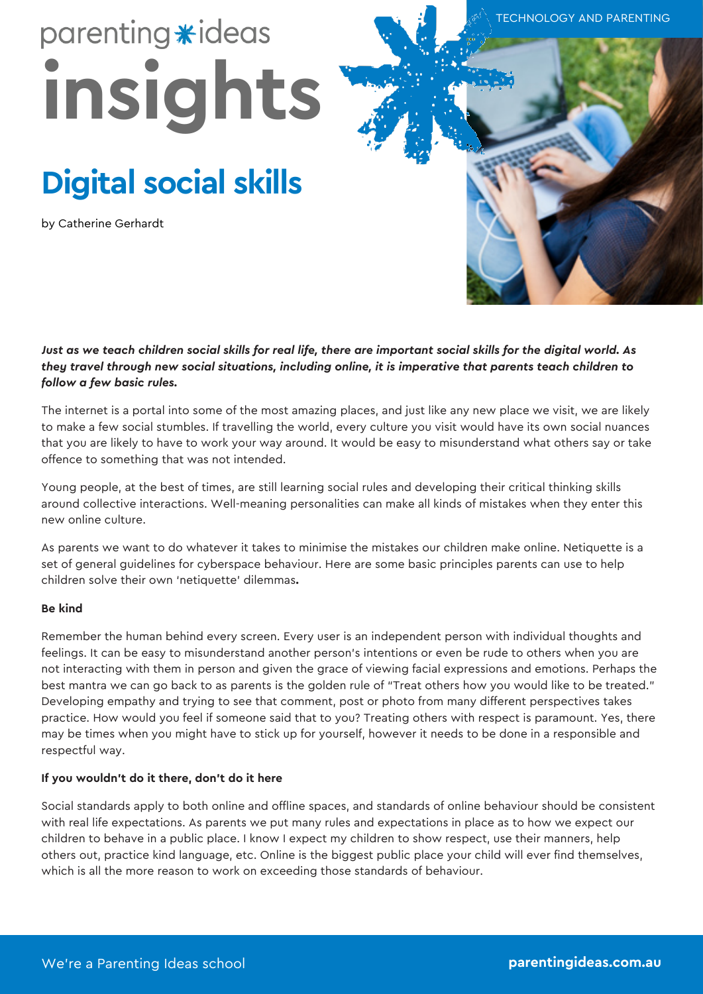# parenting \*ideas **insights**

# **Digital social skills**

by Catherine Gerhardt



TECHNOLOGY AND PARENTING

#### *Just as we teach children social skills for real life, there are important social skills for the digital world. As they travel through new social situations, including online, it is imperative that parents teach children to follow a few basic rules.*

The internet is a portal into some of the most amazing places, and just like any new place we visit, we are likely to make a few social stumbles. If travelling the world, every culture you visit would have its own social nuances that you are likely to have to work your way around. It would be easy to misunderstand what others say or take offence to something that was not intended.

Young people, at the best of times, are still learning social rules and developing their critical thinking skills around collective interactions. Well-meaning personalities can make all kinds of mistakes when they enter this new online culture.

As parents we want to do whatever it takes to minimise the mistakes our children make online. Netiquette is a set of general guidelines for cyberspace behaviour. Here are some basic principles parents can use to help children solve their own 'netiquette' dilemmas**.**

#### **Be kind**

Remember the human behind every screen. Every user is an independent person with individual thoughts and feelings. It can be easy to misunderstand another person's intentions or even be rude to others when you are not interacting with them in person and given the grace of viewing facial expressions and emotions. Perhaps the best mantra we can go back to as parents is the golden rule of "Treat others how you would like to be treated." Developing empathy and trying to see that comment, post or photo from many different perspectives takes practice. How would you feel if someone said that to you? Treating others with respect is paramount. Yes, there may be times when you might have to stick up for yourself, however it needs to be done in a responsible and respectful way.

#### **If you wouldn't do it there, don't do it here**

Social standards apply to both online and offline spaces, and standards of online behaviour should be consistent with real life expectations. As parents we put many rules and expectations in place as to how we expect our children to behave in a public place. I know I expect my children to show respect, use their manners, help others out, practice kind language, etc. Online is the biggest public place your child will ever find themselves, which is all the more reason to work on exceeding those standards of behaviour.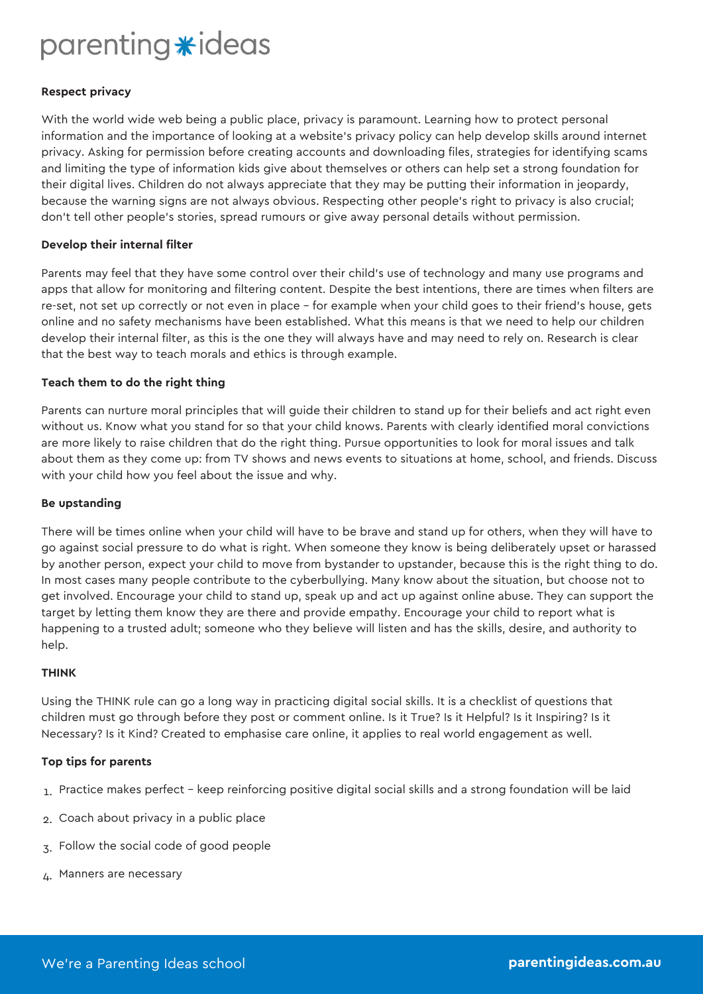### parenting \*ideas

#### **Respect privacy**

With the world wide web being a public place, privacy is paramount. Learning how to protect personal information and the importance of looking at a website's privacy policy can help develop skills around internet privacy. Asking for permission before creating accounts and downloading files, strategies for identifying scams and limiting the type of information kids give about themselves or others can help set a strong foundation for their digital lives. Children do not always appreciate that they may be putting their information in jeopardy, because the warning signs are not always obvious. Respecting other people's right to privacy is also crucial; don't tell other people's stories, spread rumours or give away personal details without permission.

#### **Develop their internal filter**

Parents may feel that they have some control over their child's use of technology and many use programs and apps that allow for monitoring and filtering content. Despite the best intentions, there are times when filters are re-set, not set up correctly or not even in place – for example when your child goes to their friend's house, gets online and no safety mechanisms have been established. What this means is that we need to help our children develop their internal filter, as this is the one they will always have and may need to rely on. Research is clear that the best way to teach morals and ethics is through example.

#### **Teach them to do the right thing**

Parents can nurture moral principles that will guide their children to stand up for their beliefs and act right even without us. Know what you stand for so that your child knows. Parents with clearly identified moral convictions are more likely to raise children that do the right thing. Pursue opportunities to look for moral issues and talk about them as they come up: from TV shows and news events to situations at home, school, and friends. Discuss with your child how you feel about the issue and why.

#### **Be upstanding**

There will be times online when your child will have to be brave and stand up for others, when they will have to go against social pressure to do what is right. When someone they know is being deliberately upset or harassed by another person, expect your child to move from bystander to upstander, because this is the right thing to do. In most cases many people contribute to the cyberbullying. Many know about the situation, but choose not to get involved. Encourage your child to stand up, speak up and act up against online abuse. They can support the target by letting them know they are there and provide empathy. Encourage your child to report what is happening to a trusted adult; someone who they believe will listen and has the skills, desire, and authority to help.

#### **THINK**

Using the THINK rule can go a long way in practicing digital social skills. It is a checklist of questions that children must go through before they post or comment online. Is it True? Is it Helpful? Is it Inspiring? Is it Necessary? Is it Kind? Created to emphasise care online, it applies to real world engagement as well.

#### **Top tips for parents**

- 1. Practice makes perfect keep reinforcing positive digital social skills and a strong foundation will be laid
- 2. Coach about privacy in a public place
- 3. Follow the social code of good people
- 4. Manners are necessary